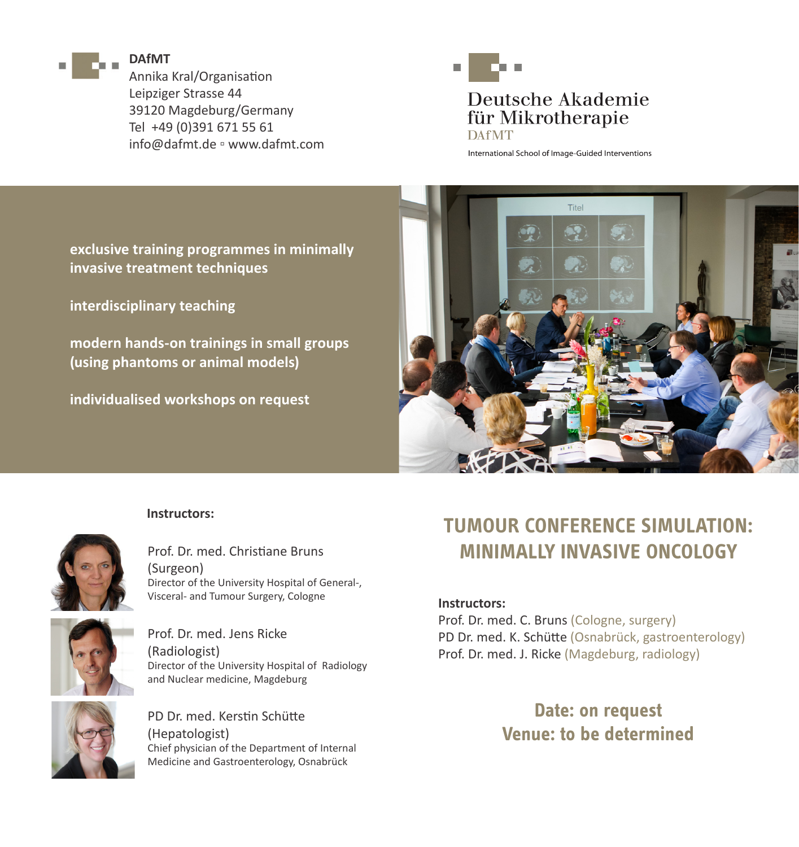

#### **DAfMT**

Annika Kral/Organisation Leipziger Strasse 44 39120 Magdeburg/Germany Tel +49 (0)391 671 55 61 info@dafmt.de ▫ www.dafmt.com



# Deutsche Akademie für Mikrotherapie **DAfMT**

International School of Image-Guided Interventions

**exclusive training programmes in minimally invasive treatment techniques**

**interdisciplinary teaching**

**modern hands-on trainings in small groups (using phantoms or animal models)**

**individualised workshops on request**



#### **Instructors:**



Prof. Dr. med. Christiane Bruns (Surgeon) Director of the University Hospital of General-, Visceral- and Tumour Surgery, Cologne



Prof. Dr. med. Jens Ricke (Radiologist) Director of the University Hospital of Radiology and Nuclear medicine, Magdeburg



PD Dr. med. Kerstin Schütte (Hepatologist) Chief physician of the Department of Internal Medicine and Gastroenterology, Osnabrück

# **TUMOUR CONFERENCE SIMULATION: MINIMALLY INVASIVE ONCOLOGY**

#### **Instructors:**

Prof. Dr. med. C. Bruns (Cologne, surgery) PD Dr. med. K. Schütte (Osnabrück, gastroenterology) Prof. Dr. med. J. Ricke (Magdeburg, radiology)

> **Date: on request Venue: to be determined**